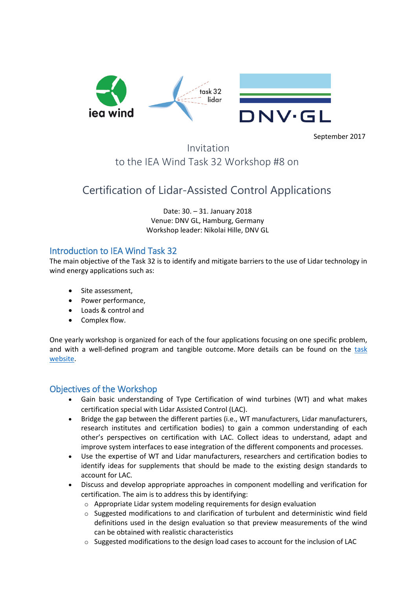

September 2017

Invitation to the IEA Wind Task 32 Workshop #8 on

# Certification of Lidar-Assisted Control Applications

Date: 30. – 31. January 2018 Venue: DNV GL, Hamburg, Germany Workshop leader: Nikolai Hille, DNV GL

# Introduction to IEA Wind Task 32

The main objective of the Task 32 is to identify and mitigate barriers to the use of Lidar technology in wind energy applications such as:

- Site assessment,
- Power performance,
- Loads & control and
- Complex flow.

One yearly workshop is organized for each of the four applications focusing on one specific problem, and with a well-defined program and tangible outcome. More details can be found on the [task](http://ieawindtask32.ifb.uni-stuttgart.de/)  [website.](http://ieawindtask32.ifb.uni-stuttgart.de/)

# Objectives of the Workshop

- Gain basic understanding of Type Certification of wind turbines (WT) and what makes certification special with Lidar Assisted Control (LAC).
- Bridge the gap between the different parties (i.e., WT manufacturers, Lidar manufacturers, research institutes and certification bodies) to gain a common understanding of each other's perspectives on certification with LAC. Collect ideas to understand, adapt and improve system interfaces to ease integration of the different components and processes.
- Use the expertise of WT and Lidar manufacturers, researchers and certification bodies to identify ideas for supplements that should be made to the existing design standards to account for LAC.
- Discuss and develop appropriate approaches in component modelling and verification for certification. The aim is to address this by identifying:
	- o Appropriate Lidar system modeling requirements for design evaluation
	- $\circ$  Suggested modifications to and clarification of turbulent and deterministic wind field definitions used in the design evaluation so that preview measurements of the wind can be obtained with realistic characteristics
	- $\circ$  Suggested modifications to the design load cases to account for the inclusion of LAC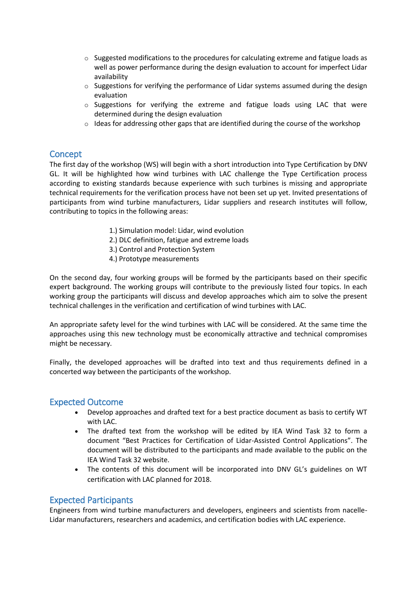- $\circ$  Suggested modifications to the procedures for calculating extreme and fatigue loads as well as power performance during the design evaluation to account for imperfect Lidar availability
- $\circ$  Suggestions for verifying the performance of Lidar systems assumed during the design evaluation
- $\circ$  Suggestions for verifying the extreme and fatigue loads using LAC that were determined during the design evaluation
- $\circ$  Ideas for addressing other gaps that are identified during the course of the workshop

# **Concept**

The first day of the workshop (WS) will begin with a short introduction into Type Certification by DNV GL. It will be highlighted how wind turbines with LAC challenge the Type Certification process according to existing standards because experience with such turbines is missing and appropriate technical requirements for the verification process have not been set up yet. Invited presentations of participants from wind turbine manufacturers, Lidar suppliers and research institutes will follow, contributing to topics in the following areas:

- 1.) Simulation model: Lidar, wind evolution
- 2.) DLC definition, fatigue and extreme loads
- 3.) Control and Protection System
- 4.) Prototype measurements

On the second day, four working groups will be formed by the participants based on their specific expert background. The working groups will contribute to the previously listed four topics. In each working group the participants will discuss and develop approaches which aim to solve the present technical challenges in the verification and certification of wind turbines with LAC.

An appropriate safety level for the wind turbines with LAC will be considered. At the same time the approaches using this new technology must be economically attractive and technical compromises might be necessary.

Finally, the developed approaches will be drafted into text and thus requirements defined in a concerted way between the participants of the workshop.

# Expected Outcome

- Develop approaches and drafted text for a best practice document as basis to certify WT with LAC.
- The drafted text from the workshop will be edited by IEA Wind Task 32 to form a document "Best Practices for Certification of Lidar-Assisted Control Applications". The document will be distributed to the participants and made available to the public on the IEA Wind Task 32 website.
- The contents of this document will be incorporated into DNV GL's guidelines on WT certification with LAC planned for 2018.

# Expected Participants

Engineers from wind turbine manufacturers and developers, engineers and scientists from nacelle-Lidar manufacturers, researchers and academics, and certification bodies with LAC experience.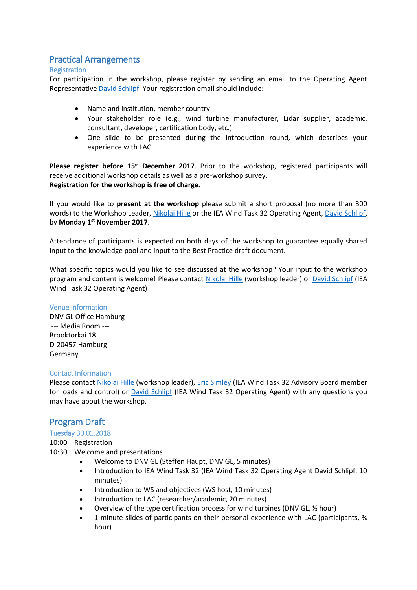# Practical Arrangements

#### Registration

For participation in the workshop, please register by sending an email to the Operating Agent Representative [David Schlipf.](mailto:IEAWind.Task32@ifb.uni-stuttgart.de) Your registration email should include:

- Name and institution, member country
- Your stakeholder role (e.g., wind turbine manufacturer, Lidar supplier, academic, consultant, developer, certification body, etc.)
- One slide to be presented during the introduction round, which describes your experience with LAC

**Please register before 15th December 2017**. Prior to the workshop, registered participants will receive additional workshop details as well as a pre-workshop survey. **Registration for the workshop is free of charge.**

If you would like to **present at the workshop** please submit a short proposal (no more than 300 words) to the Workshop Leader, [Nikolai Hille](mailto:nikolai.hille@dnvgl.com) or the IEA Wind Task 32 Operating Agent, [David Schlipf,](mailto:IEAWind.Task32@ifb.uni-stuttgart.de) by **Monday 1st November 2017**.

Attendance of participants is expected on both days of the workshop to guarantee equally shared input to the knowledge pool and input to the Best Practice draft document.

What specific topics would you like to see discussed at the workshop? Your input to the workshop program and content is welcome! Please contact [Nikolai Hille](mailto:nikolai.hille@dnvgl.com) (workshop leader) or [David Schlipf](mailto:IEAWind.Task32@ifb.uni-stuttgart.de) (IEA Wind Task 32 Operating Agent)

#### Venue Information

DNV GL Office Hamburg --- Media Room --- Brooktorkai 18 D-20457 Hamburg Germany

#### Contact Information

Please contact [Nikolai Hille](mailto:nikolai.hille@dnvgl.com) (workshop leader), [Eric Simley](mailto:eric.simley@envision-energy.com) (IEA Wind Task 32 Advisory Board member for loads and control) or [David Schlipf](mailto:IEAWind.Task32@ifb.uni-stuttgart.de) (IEA Wind Task 32 Operating Agent) with any questions you may have about the workshop.

# Program Draft

#### Tuesday 30.01.2018

#### 10:00 Registration

- 10:30 Welcome and presentations
	- Welcome to DNV GL (Steffen Haupt, DNV GL, 5 minutes)
	- Introduction to IEA Wind Task 32 (IEA Wind Task 32 Operating Agent David Schlipf, 10 minutes)
	- Introduction to WS and objectives (WS host, 10 minutes)
	- Introduction to LAC (researcher/academic, 20 minutes)
	- Overview of the type certification process for wind turbines (DNV GL, ½ hour)
	- 1-minute slides of participants on their personal experience with LAC (participants, ¾ hour)